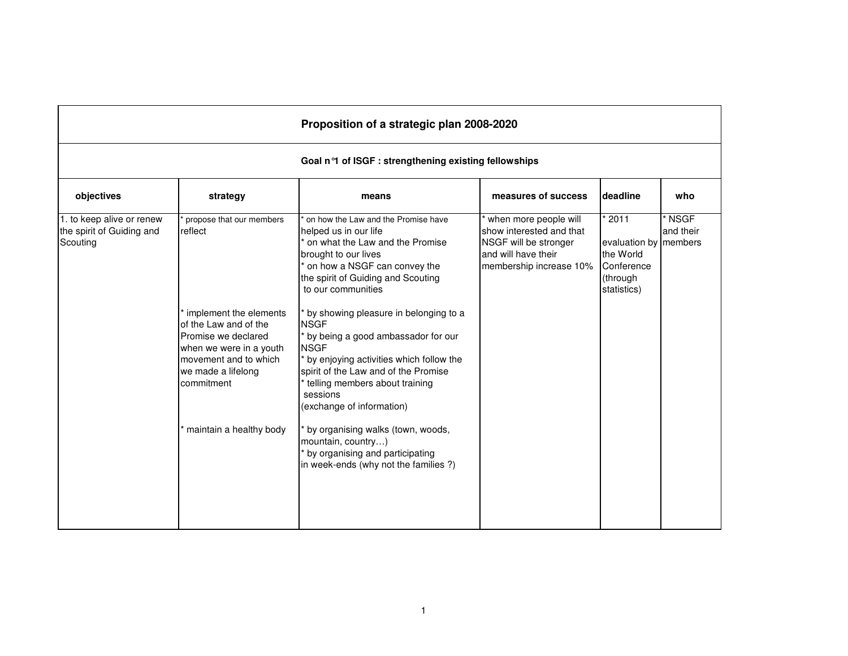| Proposition of a strategic plan 2008-2020                          |                                                                                                                                                                                                                                  |                                                                                                                                                                                                                                                                                                                                                                                                                                                                                                                                                                                                                                        |                                                                                                                              |                                                                                     |                     |  |  |  |  |
|--------------------------------------------------------------------|----------------------------------------------------------------------------------------------------------------------------------------------------------------------------------------------------------------------------------|----------------------------------------------------------------------------------------------------------------------------------------------------------------------------------------------------------------------------------------------------------------------------------------------------------------------------------------------------------------------------------------------------------------------------------------------------------------------------------------------------------------------------------------------------------------------------------------------------------------------------------------|------------------------------------------------------------------------------------------------------------------------------|-------------------------------------------------------------------------------------|---------------------|--|--|--|--|
|                                                                    | Goal n <sup>o</sup> 1 of ISGF : strengthening existing fellowships                                                                                                                                                               |                                                                                                                                                                                                                                                                                                                                                                                                                                                                                                                                                                                                                                        |                                                                                                                              |                                                                                     |                     |  |  |  |  |
| objectives                                                         | strategy                                                                                                                                                                                                                         | means                                                                                                                                                                                                                                                                                                                                                                                                                                                                                                                                                                                                                                  | measures of success                                                                                                          | deadline                                                                            | who                 |  |  |  |  |
| 1. to keep alive or renew<br>the spirit of Guiding and<br>Scouting | propose that our members<br>reflect<br>implement the elements<br>of the Law and of the<br>Promise we declared<br>when we were in a youth<br>movement and to which<br>we made a lifelong<br>commitment<br>maintain a healthy body | on how the Law and the Promise have<br>helped us in our life<br>on what the Law and the Promise<br>brought to our lives<br>* on how a NSGF can convey the<br>the spirit of Guiding and Scouting<br>to our communities<br>by showing pleasure in belonging to a<br><b>NSGF</b><br>by being a good ambassador for our<br><b>NSGF</b><br>by enjoying activities which follow the<br>spirit of the Law and of the Promise<br>telling members about training<br>sessions<br>(exchange of information)<br>by organising walks (town, woods,<br>mountain, country)<br>by organising and participating<br>in week-ends (why not the families?) | when more people will<br>show interested and that<br>NSGF will be stronger<br>and will have their<br>membership increase 10% | 2011<br>evaluation by members<br>the World<br>Conference<br>(through<br>statistics) | * NSGF<br>and their |  |  |  |  |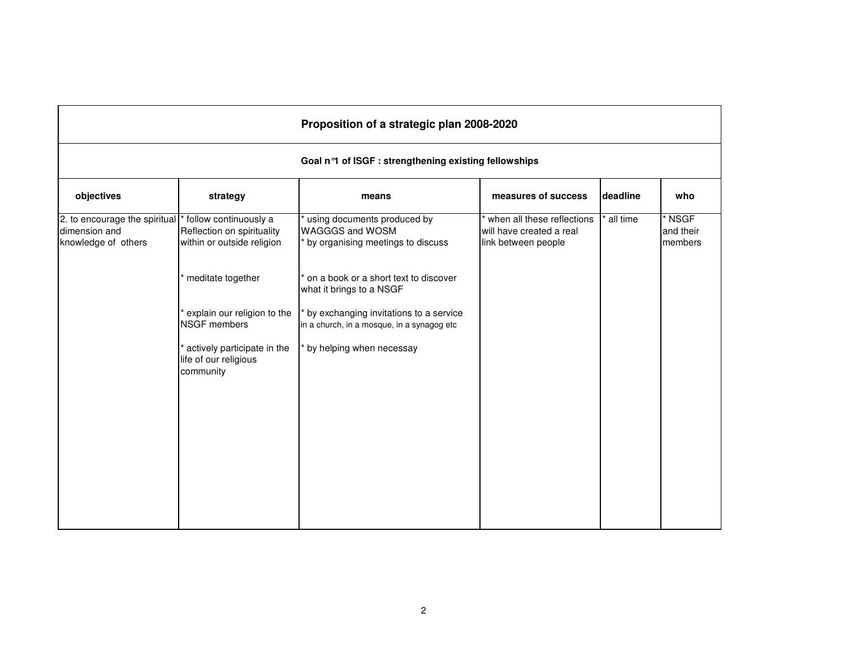| Proposition of a strategic plan 2008-2020                             |                                                                                   |                                                                                            |                                                                               |          |                                  |  |  |  |  |
|-----------------------------------------------------------------------|-----------------------------------------------------------------------------------|--------------------------------------------------------------------------------------------|-------------------------------------------------------------------------------|----------|----------------------------------|--|--|--|--|
|                                                                       | Goal n°1 of ISGF : strengthening existing fellowships                             |                                                                                            |                                                                               |          |                                  |  |  |  |  |
| objectives                                                            | strategy                                                                          | means                                                                                      | measures of success                                                           | deadline | who                              |  |  |  |  |
| 2. to encourage the spiritual<br>dimension and<br>knowledge of others | follow continuously a<br>Reflection on spirituality<br>within or outside religion | using documents produced by<br><b>WAGGGS and WOSM</b><br>by organising meetings to discuss | when all these reflections<br>will have created a real<br>link between people | all time | $*$ NSGF<br>and their<br>members |  |  |  |  |
|                                                                       | meditate together                                                                 | on a book or a short text to discover<br>what it brings to a NSGF                          |                                                                               |          |                                  |  |  |  |  |
|                                                                       | explain our religion to the<br><b>NSGF</b> members                                | by exchanging invitations to a service<br>in a church, in a mosque, in a synagog etc       |                                                                               |          |                                  |  |  |  |  |
|                                                                       | actively participate in the<br>life of our religious<br>community                 | by helping when necessay                                                                   |                                                                               |          |                                  |  |  |  |  |
|                                                                       |                                                                                   |                                                                                            |                                                                               |          |                                  |  |  |  |  |
|                                                                       |                                                                                   |                                                                                            |                                                                               |          |                                  |  |  |  |  |
|                                                                       |                                                                                   |                                                                                            |                                                                               |          |                                  |  |  |  |  |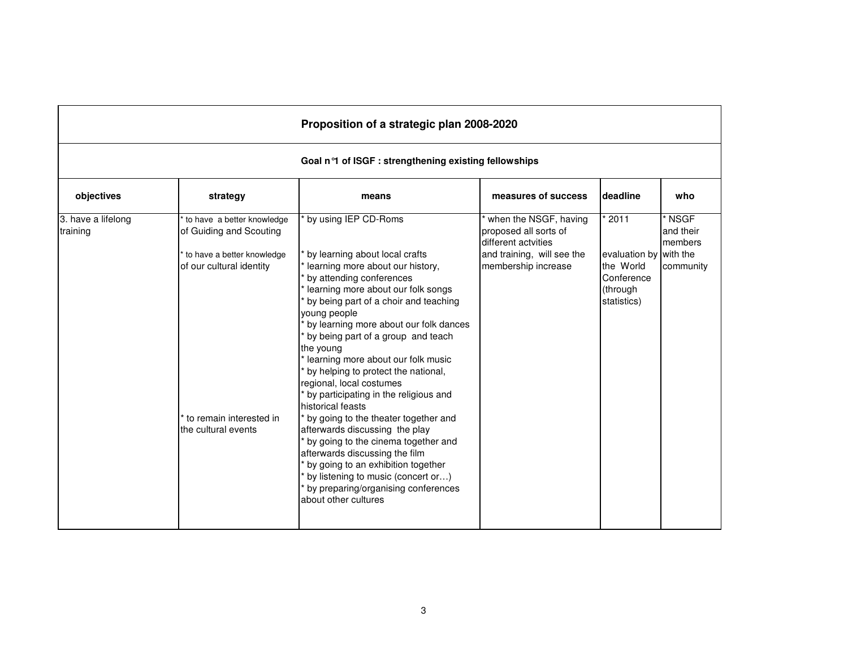|                                |                                                                                                                                                                   | Proposition of a strategic plan 2008-2020                                                                                                                                                                                                                                                                                                                                                                                                                                                                                                                                                                                                                                                                                                                                               |                                                                                                                            |                                                                                       |                                             |  |  |  |  |  |
|--------------------------------|-------------------------------------------------------------------------------------------------------------------------------------------------------------------|-----------------------------------------------------------------------------------------------------------------------------------------------------------------------------------------------------------------------------------------------------------------------------------------------------------------------------------------------------------------------------------------------------------------------------------------------------------------------------------------------------------------------------------------------------------------------------------------------------------------------------------------------------------------------------------------------------------------------------------------------------------------------------------------|----------------------------------------------------------------------------------------------------------------------------|---------------------------------------------------------------------------------------|---------------------------------------------|--|--|--|--|--|
|                                | Goal n <sup>o</sup> 1 of ISGF : strengthening existing fellowships                                                                                                |                                                                                                                                                                                                                                                                                                                                                                                                                                                                                                                                                                                                                                                                                                                                                                                         |                                                                                                                            |                                                                                       |                                             |  |  |  |  |  |
| objectives                     | strategy                                                                                                                                                          | means                                                                                                                                                                                                                                                                                                                                                                                                                                                                                                                                                                                                                                                                                                                                                                                   | measures of success                                                                                                        | deadline                                                                              | who                                         |  |  |  |  |  |
| 3. have a lifelong<br>training | to have a better knowledge<br>of Guiding and Scouting<br>to have a better knowledge<br>of our cultural identity<br>to remain interested in<br>the cultural events | by using IEP CD-Roms<br>by learning about local crafts<br>learning more about our history,<br>by attending conferences<br>learning more about our folk songs<br>by being part of a choir and teaching<br>young people<br>by learning more about our folk dances<br>by being part of a group and teach<br>the young<br>learning more about our folk music<br>by helping to protect the national,<br>regional, local costumes<br>by participating in the religious and<br>historical feasts<br>by going to the theater together and<br>afterwards discussing the play<br>by going to the cinema together and<br>afterwards discussing the film<br>by going to an exhibition together<br>by listening to music (concert or)<br>by preparing/organising conferences<br>about other cultures | when the NSGF, having<br>proposed all sorts of<br>different actvities<br>and training, will see the<br>membership increase | 12011<br>evaluation by with the<br>the World<br>Conference<br>(through<br>statistics) | ' NSGF<br>and their<br>members<br>community |  |  |  |  |  |

r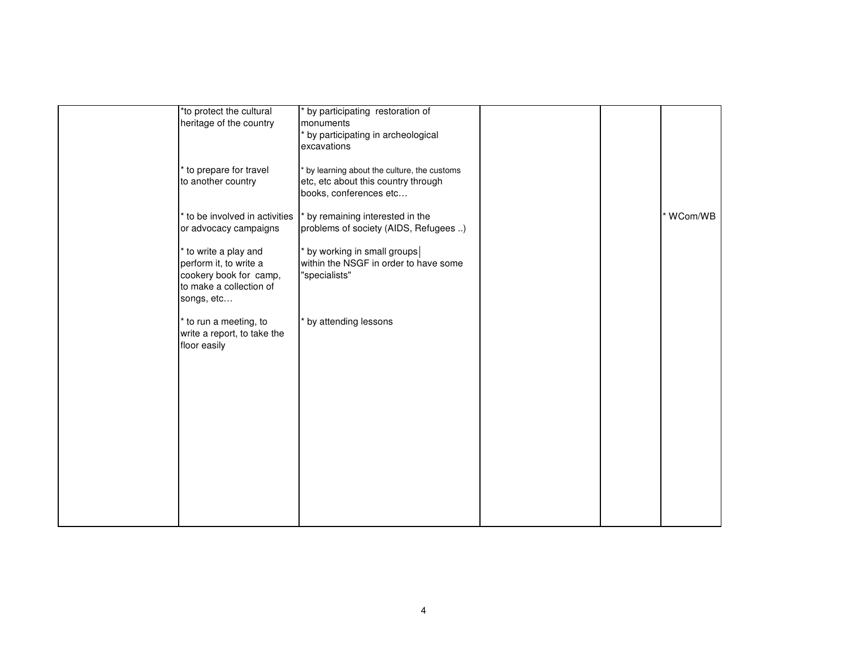|              | *to protect the cultural<br>heritage of the country                                                              | by participating restoration of<br>monuments<br>by participating in archeological<br>excavations            |  |           |
|--------------|------------------------------------------------------------------------------------------------------------------|-------------------------------------------------------------------------------------------------------------|--|-----------|
|              | to prepare for travel<br>to another country                                                                      | by learning about the culture, the customs<br>etc, etc about this country through<br>books, conferences etc |  |           |
|              | to be involved in activities<br>or advocacy campaigns                                                            | by remaining interested in the<br>problems of society (AIDS, Refugees )                                     |  | * WCom/WB |
|              | to write a play and<br>perform it, to write a<br>cookery book for camp,<br>to make a collection of<br>songs, etc | * by working in small groups<br>within the NSGF in order to have some<br>"specialists"                      |  |           |
| floor easily | to run a meeting, to<br>write a report, to take the                                                              | * by attending lessons                                                                                      |  |           |
|              |                                                                                                                  |                                                                                                             |  |           |
|              |                                                                                                                  |                                                                                                             |  |           |
|              |                                                                                                                  |                                                                                                             |  |           |
|              |                                                                                                                  |                                                                                                             |  |           |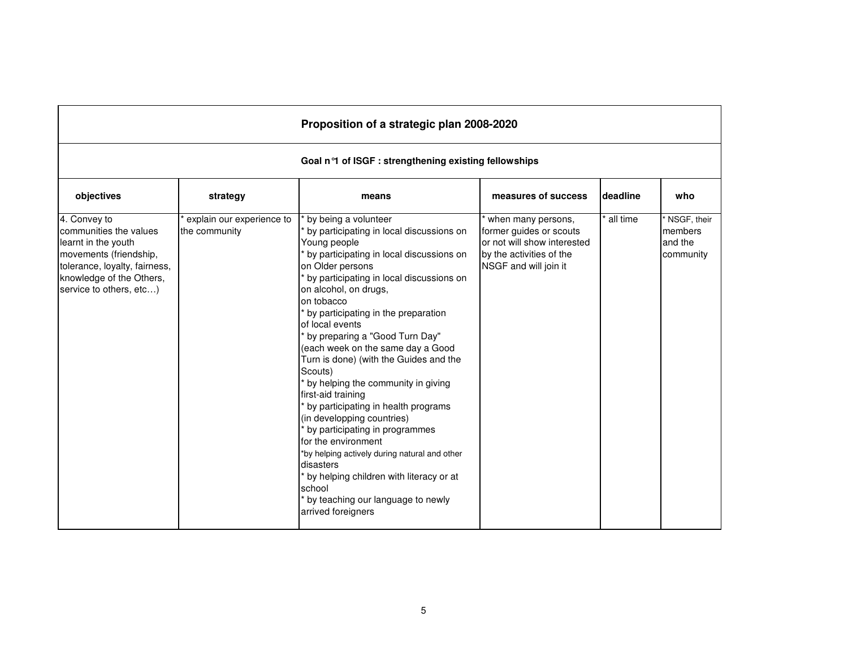| Proposition of a strategic plan 2008-2020                                                                                                                                       |                                                       |                                                                                                                                                                                                                                                                                                                                                                                                                                                                                                                                                                                                                                                                                                                                                                                                   |                                                                                                                                   |          |                                                |  |  |  |  |  |
|---------------------------------------------------------------------------------------------------------------------------------------------------------------------------------|-------------------------------------------------------|---------------------------------------------------------------------------------------------------------------------------------------------------------------------------------------------------------------------------------------------------------------------------------------------------------------------------------------------------------------------------------------------------------------------------------------------------------------------------------------------------------------------------------------------------------------------------------------------------------------------------------------------------------------------------------------------------------------------------------------------------------------------------------------------------|-----------------------------------------------------------------------------------------------------------------------------------|----------|------------------------------------------------|--|--|--|--|--|
|                                                                                                                                                                                 | Goal n°1 of ISGF : strengthening existing fellowships |                                                                                                                                                                                                                                                                                                                                                                                                                                                                                                                                                                                                                                                                                                                                                                                                   |                                                                                                                                   |          |                                                |  |  |  |  |  |
| objectives                                                                                                                                                                      | strategy                                              | means                                                                                                                                                                                                                                                                                                                                                                                                                                                                                                                                                                                                                                                                                                                                                                                             | measures of success                                                                                                               | deadline | who                                            |  |  |  |  |  |
| 4. Convey to<br>communities the values<br>learnt in the youth<br>movements (friendship,<br>tolerance, loyalty, fairness,<br>knowledge of the Others,<br>service to others, etc) | explain our experience to<br>the community            | by being a volunteer<br>by participating in local discussions on<br>Young people<br>by participating in local discussions on<br>on Older persons<br>by participating in local discussions on<br>on alcohol, on drugs,<br>on tobacco<br>by participating in the preparation<br>of local events<br>by preparing a "Good Turn Day"<br>(each week on the same day a Good<br>Turn is done) (with the Guides and the<br>Scouts)<br>by helping the community in giving<br>first-aid training<br>by participating in health programs<br>(in developping countries)<br>by participating in programmes<br>for the environment<br>*by helping actively during natural and other<br>disasters<br>by helping children with literacy or at<br>school<br>by teaching our language to newly<br>arrived foreigners | when many persons,<br>former guides or scouts<br>or not will show interested<br>by the activities of the<br>NSGF and will join it | all time | NSGF, their<br>members<br>and the<br>community |  |  |  |  |  |

r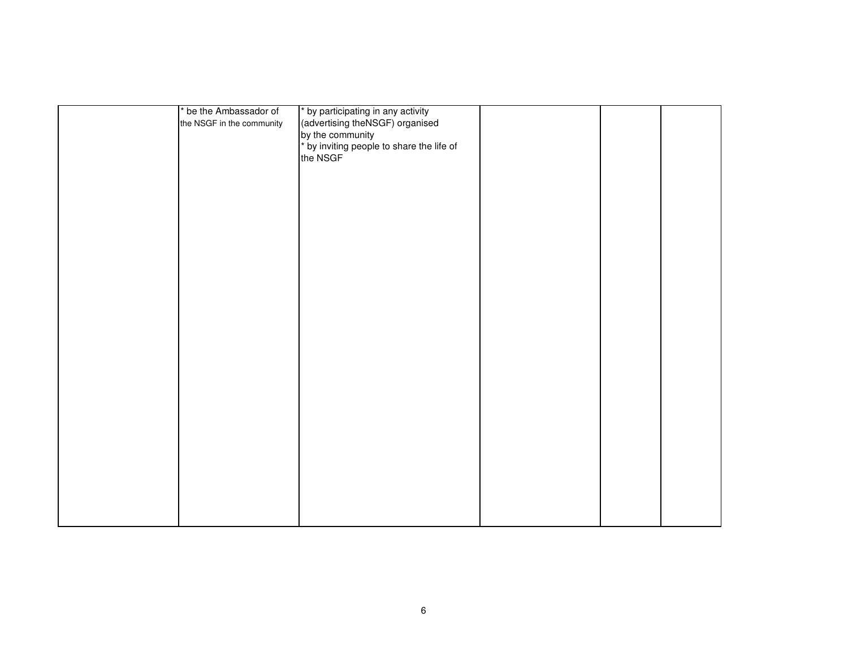| * be the Ambassador of    | * by participating in any activity        |  |  |
|---------------------------|-------------------------------------------|--|--|
| the NSGF in the community | (advertising theNSGF) organised           |  |  |
|                           | by the community                          |  |  |
|                           |                                           |  |  |
|                           | * by inviting people to share the life of |  |  |
|                           | the NSGF                                  |  |  |
|                           |                                           |  |  |
|                           |                                           |  |  |
|                           |                                           |  |  |
|                           |                                           |  |  |
|                           |                                           |  |  |
|                           |                                           |  |  |
|                           |                                           |  |  |
|                           |                                           |  |  |
|                           |                                           |  |  |
|                           |                                           |  |  |
|                           |                                           |  |  |
|                           |                                           |  |  |
|                           |                                           |  |  |
|                           |                                           |  |  |
|                           |                                           |  |  |
|                           |                                           |  |  |
|                           |                                           |  |  |
|                           |                                           |  |  |
|                           |                                           |  |  |
|                           |                                           |  |  |
|                           |                                           |  |  |
|                           |                                           |  |  |
|                           |                                           |  |  |
|                           |                                           |  |  |
|                           |                                           |  |  |
|                           |                                           |  |  |
|                           |                                           |  |  |
|                           |                                           |  |  |
|                           |                                           |  |  |
|                           |                                           |  |  |
|                           |                                           |  |  |
|                           |                                           |  |  |
|                           |                                           |  |  |
|                           |                                           |  |  |
|                           |                                           |  |  |
|                           |                                           |  |  |
|                           |                                           |  |  |
|                           |                                           |  |  |
|                           |                                           |  |  |
|                           |                                           |  |  |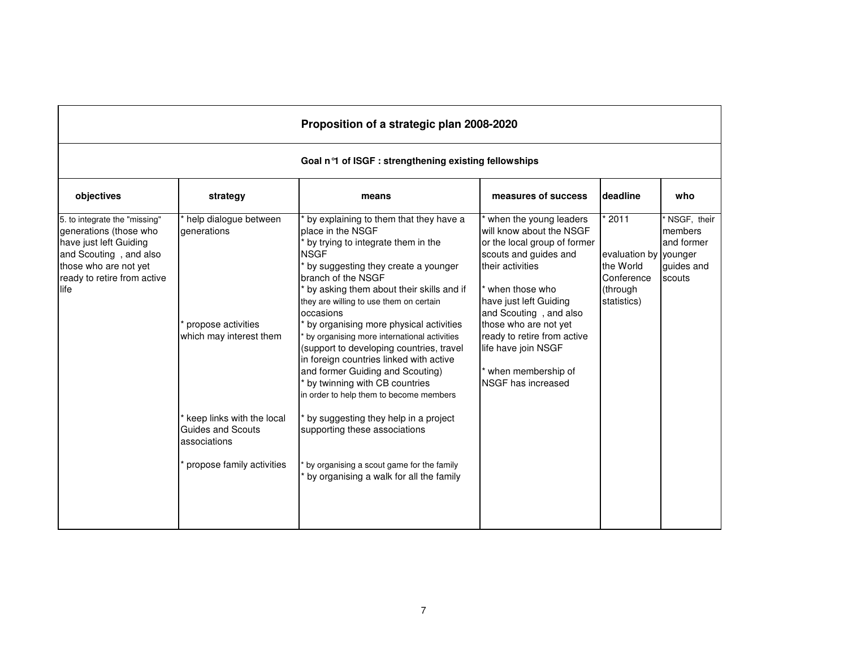|                                                                                                                                                                              | Proposition of a strategic plan 2008-2020                                                                                                                                                   |                                                                                                                                                                                                                                                                                                                                                                                                                                                                                                                                                                                                                                                                                                                                                    |                                                                                                                                                                                                                                                                                                                                  |                                                                                     |                                                              |  |  |  |  |
|------------------------------------------------------------------------------------------------------------------------------------------------------------------------------|---------------------------------------------------------------------------------------------------------------------------------------------------------------------------------------------|----------------------------------------------------------------------------------------------------------------------------------------------------------------------------------------------------------------------------------------------------------------------------------------------------------------------------------------------------------------------------------------------------------------------------------------------------------------------------------------------------------------------------------------------------------------------------------------------------------------------------------------------------------------------------------------------------------------------------------------------------|----------------------------------------------------------------------------------------------------------------------------------------------------------------------------------------------------------------------------------------------------------------------------------------------------------------------------------|-------------------------------------------------------------------------------------|--------------------------------------------------------------|--|--|--|--|
|                                                                                                                                                                              | Goal n <sup>o</sup> 1 of ISGF : strengthening existing fellowships                                                                                                                          |                                                                                                                                                                                                                                                                                                                                                                                                                                                                                                                                                                                                                                                                                                                                                    |                                                                                                                                                                                                                                                                                                                                  |                                                                                     |                                                              |  |  |  |  |
| objectives                                                                                                                                                                   | strategy                                                                                                                                                                                    | means                                                                                                                                                                                                                                                                                                                                                                                                                                                                                                                                                                                                                                                                                                                                              | measures of success                                                                                                                                                                                                                                                                                                              | deadline                                                                            | who                                                          |  |  |  |  |
| 5. to integrate the "missing"<br>generations (those who<br>have just left Guiding<br>and Scouting, and also<br>those who are not yet<br>ready to retire from active<br>llife | help dialogue between<br>generations<br>propose activities<br>which may interest them<br>keep links with the local<br><b>Guides and Scouts</b><br>associations<br>propose family activities | by explaining to them that they have a<br>place in the NSGF<br>by trying to integrate them in the<br><b>NSGF</b><br>by suggesting they create a younger<br>branch of the NSGF<br>by asking them about their skills and if<br>they are willing to use them on certain<br>occasions<br>by organising more physical activities<br>by organising more international activities<br>(support to developing countries, travel<br>in foreign countries linked with active<br>and former Guiding and Scouting)<br>by twinning with CB countries<br>in order to help them to become members<br>by suggesting they help in a project<br>supporting these associations<br>by organising a scout game for the family<br>by organising a walk for all the family | when the young leaders<br>will know about the NSGF<br>or the local group of former<br>scouts and guides and<br>their activities<br>when those who<br>have just left Guiding<br>and Scouting, and also<br>those who are not yet<br>ready to retire from active<br>life have join NSGF<br>when membership of<br>NSGF has increased | 2011<br>evaluation by younger<br>the World<br>Conference<br>(through<br>statistics) | NSGF, their<br>members<br>and former<br>guides and<br>scouts |  |  |  |  |

 $\Gamma$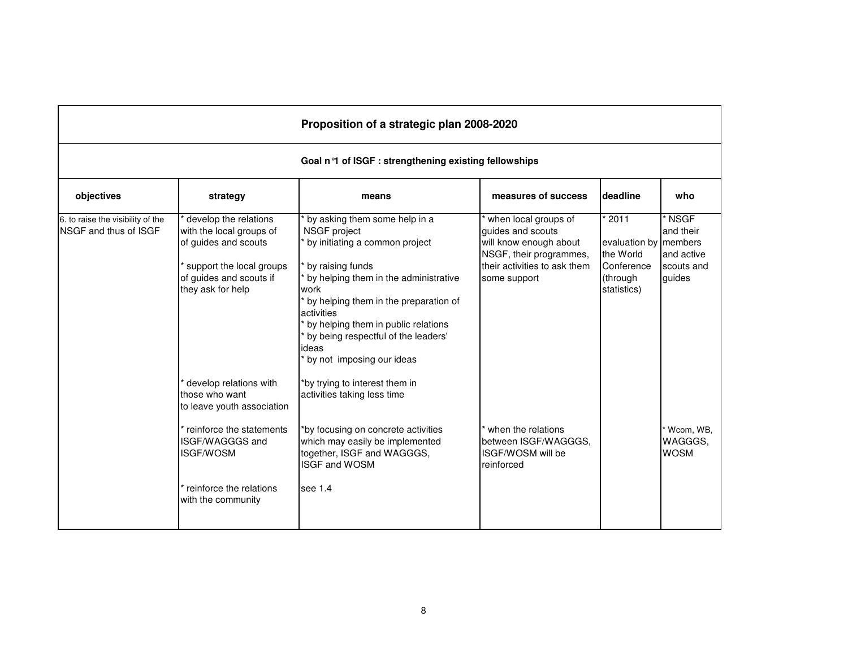|                                                                   |                                                                                                                                                                                            | Proposition of a strategic plan 2008-2020                                                                                                                                                                                                                                                                                       |                                                                                                                                                |                                                                                     |                                                           |  |  |  |  |
|-------------------------------------------------------------------|--------------------------------------------------------------------------------------------------------------------------------------------------------------------------------------------|---------------------------------------------------------------------------------------------------------------------------------------------------------------------------------------------------------------------------------------------------------------------------------------------------------------------------------|------------------------------------------------------------------------------------------------------------------------------------------------|-------------------------------------------------------------------------------------|-----------------------------------------------------------|--|--|--|--|
|                                                                   | Goal n <sup>o</sup> 1 of ISGF : strengthening existing fellowships                                                                                                                         |                                                                                                                                                                                                                                                                                                                                 |                                                                                                                                                |                                                                                     |                                                           |  |  |  |  |
| objectives                                                        | strategy                                                                                                                                                                                   | means                                                                                                                                                                                                                                                                                                                           | measures of success                                                                                                                            | deadline                                                                            | who                                                       |  |  |  |  |
| 6. to raise the visibility of the<br><b>NSGF</b> and thus of ISGF | develop the relations<br>with the local groups of<br>of guides and scouts<br>support the local groups<br>of guides and scouts if<br>they ask for help                                      | by asking them some help in a<br>NSGF project<br>by initiating a common project<br>by raising funds<br>by helping them in the administrative<br>work<br>by helping them in the preparation of<br>activities<br>by helping them in public relations<br>by being respectful of the leaders'<br>ideas<br>by not imposing our ideas | when local groups of<br>guides and scouts<br>will know enough about<br>NSGF, their programmes,<br>their activities to ask them<br>some support | 2011<br>evaluation by members<br>the World<br>Conference<br>(through<br>statistics) | ' NSGF<br>and their<br>and active<br>scouts and<br>guides |  |  |  |  |
|                                                                   | develop relations with<br>those who want<br>to leave youth association<br>reinforce the statements<br>ISGF/WAGGGS and<br><b>ISGF/WOSM</b><br>reinforce the relations<br>with the community | *by trying to interest them in<br>activities taking less time<br>*by focusing on concrete activities<br>which may easily be implemented<br>together, ISGF and WAGGGS,<br><b>ISGF and WOSM</b><br>see 1.4                                                                                                                        | when the relations<br>between ISGF/WAGGGS.<br>ISGF/WOSM will be<br>reinforced                                                                  |                                                                                     | Wcom, WB,<br>WAGGGS.<br><b>WOSM</b>                       |  |  |  |  |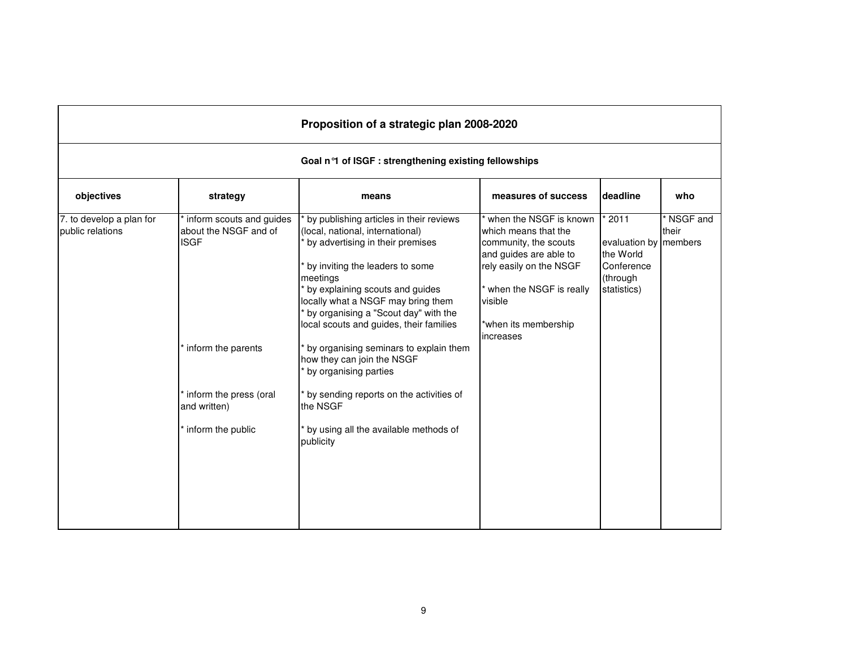|                                              | Proposition of a strategic plan 2008-2020                                              |                                                                                                                                                                                                                                                                                                                                                                                                                             |                                                                                                                                                                                                         |                                                                                     |                   |  |  |  |  |  |
|----------------------------------------------|----------------------------------------------------------------------------------------|-----------------------------------------------------------------------------------------------------------------------------------------------------------------------------------------------------------------------------------------------------------------------------------------------------------------------------------------------------------------------------------------------------------------------------|---------------------------------------------------------------------------------------------------------------------------------------------------------------------------------------------------------|-------------------------------------------------------------------------------------|-------------------|--|--|--|--|--|
|                                              | Goal n <sup>o</sup> l of ISGF : strengthening existing fellowships                     |                                                                                                                                                                                                                                                                                                                                                                                                                             |                                                                                                                                                                                                         |                                                                                     |                   |  |  |  |  |  |
| objectives                                   | strategy                                                                               | means                                                                                                                                                                                                                                                                                                                                                                                                                       | measures of success                                                                                                                                                                                     | deadline                                                                            | who               |  |  |  |  |  |
| 7. to develop a plan for<br>public relations | inform scouts and guides<br>about the NSGF and of<br><b>ISGF</b><br>inform the parents | by publishing articles in their reviews<br>(local, national, international)<br>by advertising in their premises<br>by inviting the leaders to some<br>meetings<br>by explaining scouts and guides<br>locally what a NSGF may bring them<br>by organising a "Scout day" with the<br>local scouts and guides, their families<br>by organising seminars to explain them<br>how they can join the NSGF<br>by organising parties | when the NSGF is known<br>which means that the<br>community, the scouts<br>and guides are able to<br>rely easily on the NSGF<br>when the NSGF is really<br>visible<br>*when its membership<br>increases | 2011<br>evaluation by members<br>the World<br>Conference<br>(through<br>statistics) | NSGF and<br>their |  |  |  |  |  |
|                                              | inform the press (oral<br>and written)<br>inform the public                            | by sending reports on the activities of<br>the NSGF<br>by using all the available methods of<br>publicity                                                                                                                                                                                                                                                                                                                   |                                                                                                                                                                                                         |                                                                                     |                   |  |  |  |  |  |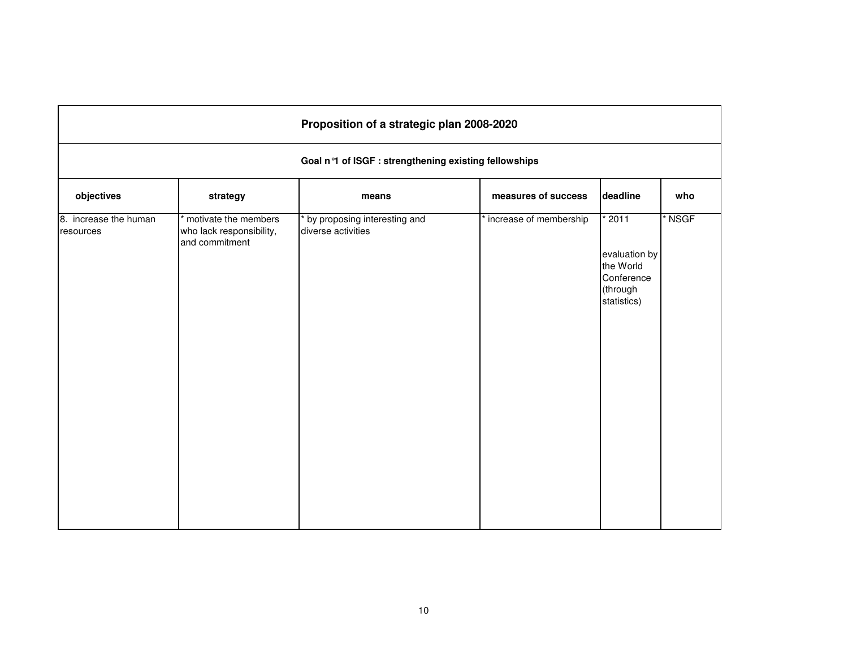|                                    |                                                                      | Proposition of a strategic plan 2008-2020          |                        |                                                                                |        |  |  |  |  |
|------------------------------------|----------------------------------------------------------------------|----------------------------------------------------|------------------------|--------------------------------------------------------------------------------|--------|--|--|--|--|
|                                    | Goal n°1 of ISGF : strengthening existing fellowships                |                                                    |                        |                                                                                |        |  |  |  |  |
| objectives                         | strategy                                                             | means                                              | measures of success    | deadline                                                                       | who    |  |  |  |  |
| 8. increase the human<br>resources | * motivate the members<br>who lack responsibility,<br>and commitment | by proposing interesting and<br>diverse activities | increase of membership | $*2011$<br>evaluation by<br>the World<br>Conference<br>(through<br>statistics) | * NSGF |  |  |  |  |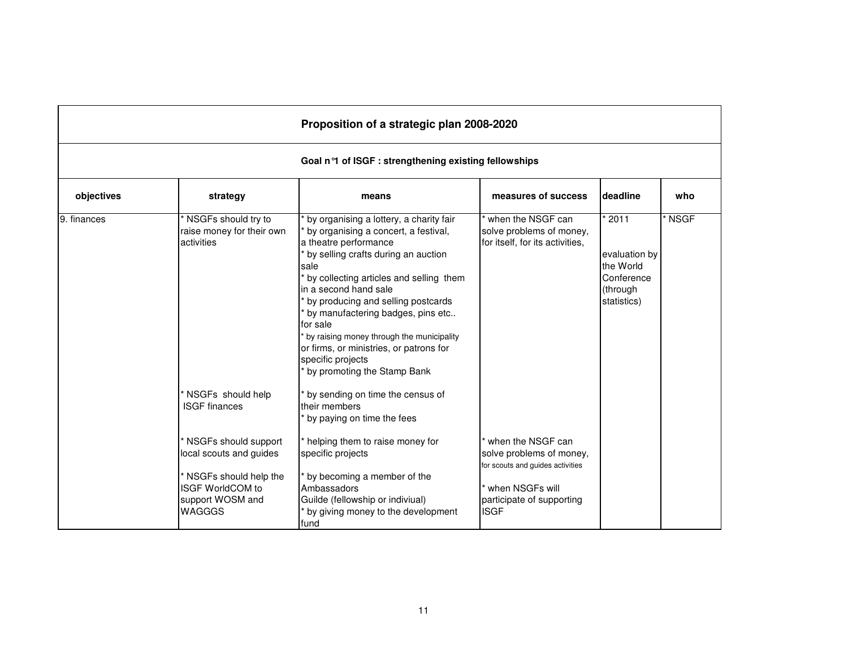|             |                                                                                                             | Proposition of a strategic plan 2008-2020                                                                                                                                                                                                                                                                                                                                                                                                                                                                           |                                                                                   |                                                                                |                   |
|-------------|-------------------------------------------------------------------------------------------------------------|---------------------------------------------------------------------------------------------------------------------------------------------------------------------------------------------------------------------------------------------------------------------------------------------------------------------------------------------------------------------------------------------------------------------------------------------------------------------------------------------------------------------|-----------------------------------------------------------------------------------|--------------------------------------------------------------------------------|-------------------|
|             |                                                                                                             | Goal n°1 of ISGF : strengthening existing fellowships                                                                                                                                                                                                                                                                                                                                                                                                                                                               |                                                                                   |                                                                                |                   |
| objectives  | strategy                                                                                                    | means                                                                                                                                                                                                                                                                                                                                                                                                                                                                                                               | measures of success                                                               | deadline                                                                       | who               |
| 9. finances | NSGFs should try to<br>raise money for their own<br>activities<br>NSGFs should help<br><b>ISGF</b> finances | by organising a lottery, a charity fair<br>by organising a concert, a festival,<br>a theatre performance<br>by selling crafts during an auction<br>sale<br>by collecting articles and selling them<br>in a second hand sale<br>by producing and selling postcards<br>by manufactering badges, pins etc<br>for sale<br>by raising money through the municipality<br>or firms, or ministries, or patrons for<br>specific projects<br>by promoting the Stamp Bank<br>by sending on time the census of<br>their members | when the NSGF can<br>solve problems of money,<br>for itself, for its activities,  | $*2011$<br>evaluation by<br>the World<br>Conference<br>(through<br>statistics) | NSGF <sup>*</sup> |
|             | NSGFs should support<br>local scouts and guides                                                             | by paying on time the fees<br>* helping them to raise money for<br>specific projects                                                                                                                                                                                                                                                                                                                                                                                                                                | when the NSGF can<br>solve problems of money,<br>for scouts and guides activities |                                                                                |                   |
|             | NSGFs should help the<br>ISGF WorldCOM to<br>support WOSM and<br>WAGGGS                                     | by becoming a member of the<br>Ambassadors<br>Guilde (fellowship or indiviual)<br>by giving money to the development<br>fund                                                                                                                                                                                                                                                                                                                                                                                        | when NSGFs will<br>participate of supporting<br><b>ISGF</b>                       |                                                                                |                   |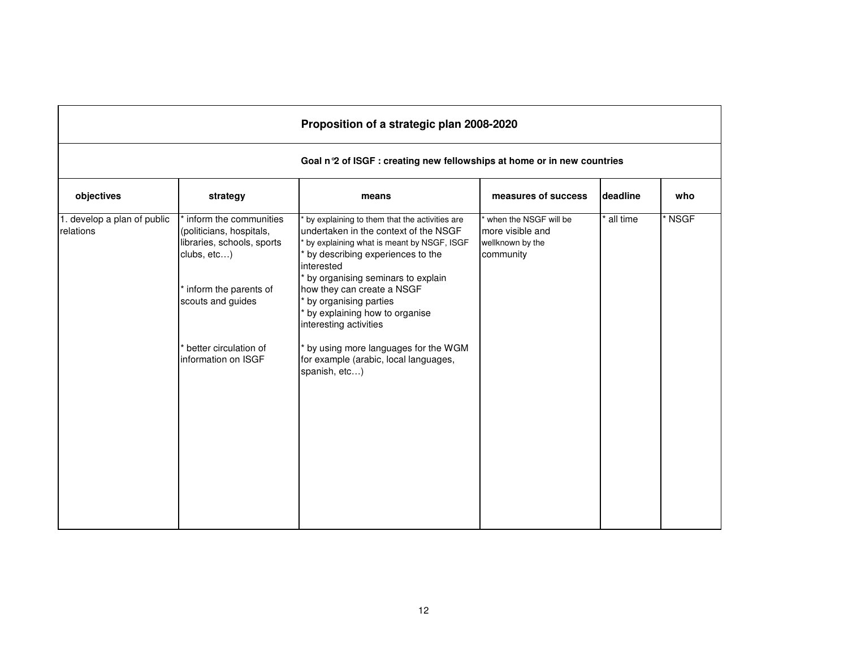|                                          |                                                                                                                                                                                               | Proposition of a strategic plan 2008-2020                                                                                                                                                                                                                                                                                                                                                                                                     |                                                                            |          |      |  |  |  |  |
|------------------------------------------|-----------------------------------------------------------------------------------------------------------------------------------------------------------------------------------------------|-----------------------------------------------------------------------------------------------------------------------------------------------------------------------------------------------------------------------------------------------------------------------------------------------------------------------------------------------------------------------------------------------------------------------------------------------|----------------------------------------------------------------------------|----------|------|--|--|--|--|
|                                          | Goal n 2 of ISGF : creating new fellowships at home or in new countries                                                                                                                       |                                                                                                                                                                                                                                                                                                                                                                                                                                               |                                                                            |          |      |  |  |  |  |
| objectives                               | strategy                                                                                                                                                                                      | means                                                                                                                                                                                                                                                                                                                                                                                                                                         | measures of success                                                        | deadline | who  |  |  |  |  |
| 1. develop a plan of public<br>relations | inform the communities<br>(politicians, hospitals,<br>libraries, schools, sports<br>clubs, etc)<br>inform the parents of<br>scouts and guides<br>better circulation of<br>information on ISGF | by explaining to them that the activities are<br>undertaken in the context of the NSGF<br>by explaining what is meant by NSGF, ISGF<br>by describing experiences to the<br>interested<br>by organising seminars to explain<br>how they can create a NSGF<br>by organising parties<br>by explaining how to organise<br>interesting activities<br>by using more languages for the WGM<br>for example (arabic, local languages,<br>spanish, etc) | when the NSGF will be<br>more visible and<br>wellknown by the<br>community | all time | NSGF |  |  |  |  |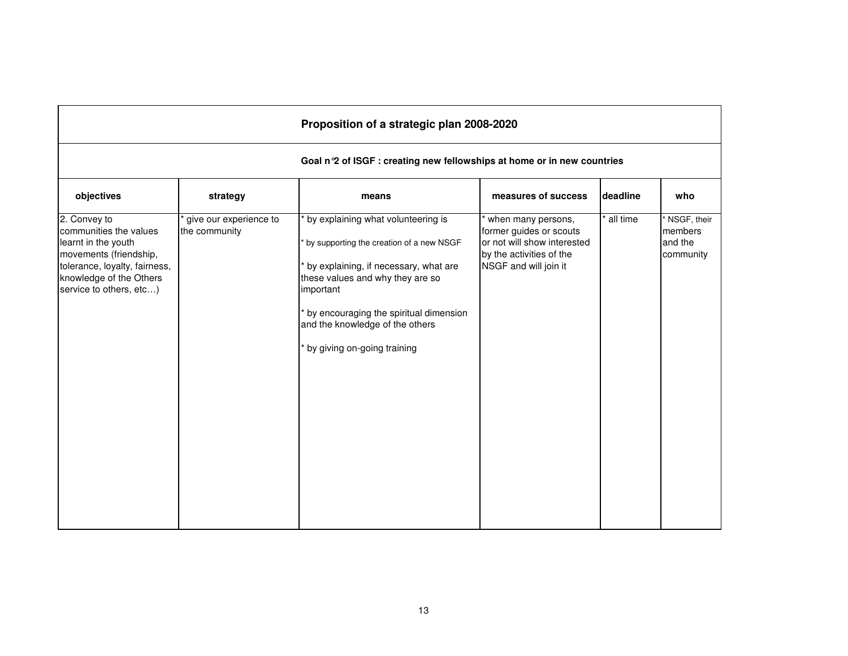| Proposition of a strategic plan 2008-2020                                                                                                                                      |                                         |                                                                                                                                                                                                                                                                                      |                                                                                                                                   |          |                                                |  |  |
|--------------------------------------------------------------------------------------------------------------------------------------------------------------------------------|-----------------------------------------|--------------------------------------------------------------------------------------------------------------------------------------------------------------------------------------------------------------------------------------------------------------------------------------|-----------------------------------------------------------------------------------------------------------------------------------|----------|------------------------------------------------|--|--|
| Goal n 2 of ISGF : creating new fellowships at home or in new countries                                                                                                        |                                         |                                                                                                                                                                                                                                                                                      |                                                                                                                                   |          |                                                |  |  |
| objectives                                                                                                                                                                     | strategy                                | means                                                                                                                                                                                                                                                                                | measures of success                                                                                                               | deadline | who                                            |  |  |
| 2. Convey to<br>communities the values<br>learnt in the youth<br>movements (friendship,<br>tolerance, loyalty, fairness,<br>knowledge of the Others<br>service to others, etc) | give our experience to<br>the community | by explaining what volunteering is<br>by supporting the creation of a new NSGF<br>by explaining, if necessary, what are<br>these values and why they are so<br>important<br>by encouraging the spiritual dimension<br>and the knowledge of the others<br>by giving on-going training | when many persons,<br>former guides or scouts<br>or not will show interested<br>by the activities of the<br>NSGF and will join it | all time | NSGF, their<br>members<br>and the<br>community |  |  |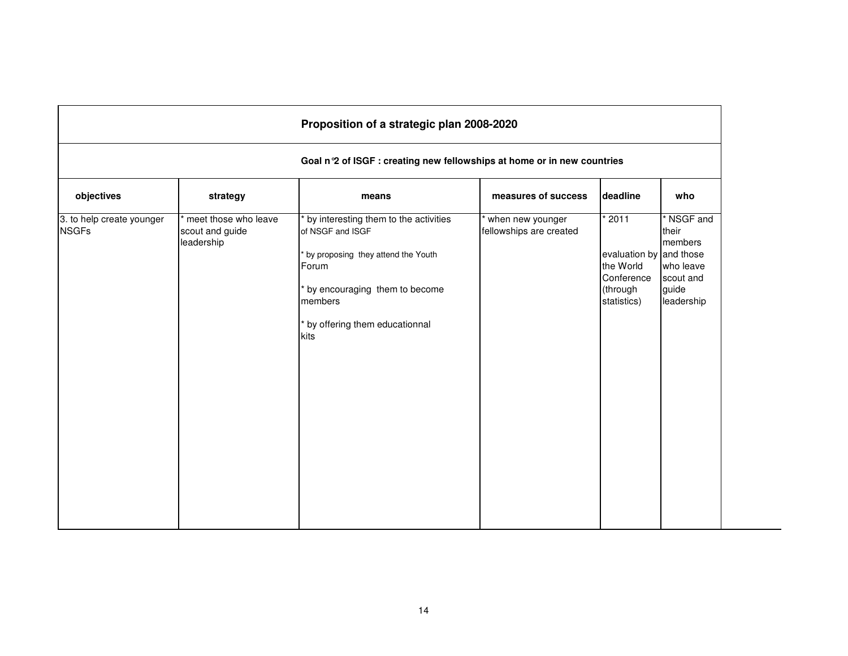| Goal n°2 of ISGF : creating new fellowships at home or in new countries |                                                       |                                                                                                          |                                             |                                                 |                                             |  |
|-------------------------------------------------------------------------|-------------------------------------------------------|----------------------------------------------------------------------------------------------------------|---------------------------------------------|-------------------------------------------------|---------------------------------------------|--|
| objectives                                                              | strategy                                              | means                                                                                                    | measures of success                         | deadline                                        | who                                         |  |
| 3. to help create younger<br><b>NSGFs</b>                               | meet those who leave<br>scout and guide<br>leadership | by interesting them to the activities<br>of NSGF and ISGF<br>by proposing they attend the Youth<br>Forum | when new younger<br>fellowships are created | $*2011$<br>evaluation by and those<br>the World | * NSGF and<br>their<br>members<br>who leave |  |
|                                                                         |                                                       | by encouraging them to become<br>members                                                                 |                                             | Conference<br>(through<br>statistics)           | scout and<br>guide<br>leadership            |  |
|                                                                         |                                                       | by offering them educationnal<br>kits                                                                    |                                             |                                                 |                                             |  |
|                                                                         |                                                       |                                                                                                          |                                             |                                                 |                                             |  |
|                                                                         |                                                       |                                                                                                          |                                             |                                                 |                                             |  |
|                                                                         |                                                       |                                                                                                          |                                             |                                                 |                                             |  |
|                                                                         |                                                       |                                                                                                          |                                             |                                                 |                                             |  |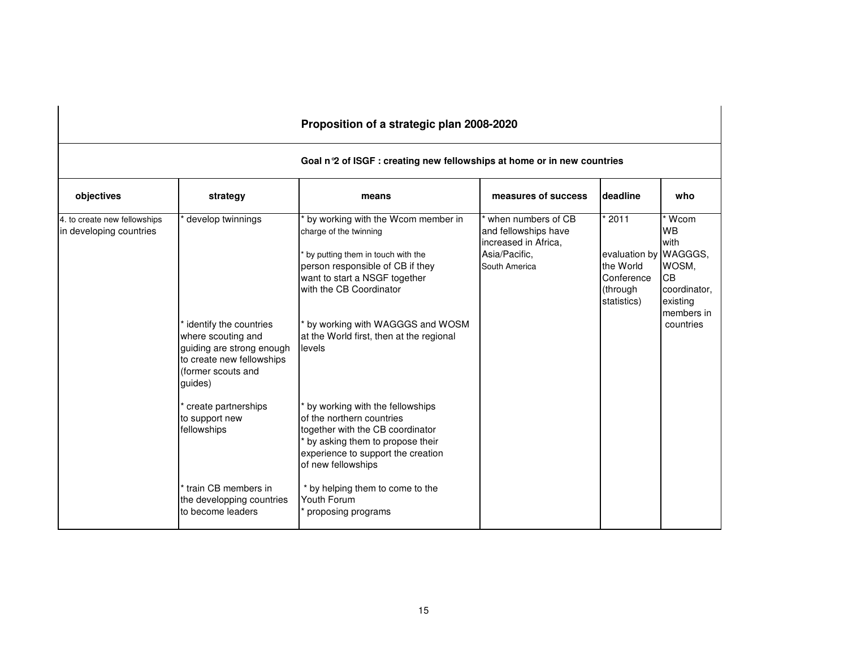## **Goal n°2 of ISGF : creating new fellowships at home or in new countries**

| objectives                                              | strategy                                                                                                                                | means                                                                                                                                                                                           | measures of success                                                                                  | <b>deadline</b>                                             | who                                             |
|---------------------------------------------------------|-----------------------------------------------------------------------------------------------------------------------------------------|-------------------------------------------------------------------------------------------------------------------------------------------------------------------------------------------------|------------------------------------------------------------------------------------------------------|-------------------------------------------------------------|-------------------------------------------------|
| 4. to create new fellowships<br>in developing countries | develop twinnings                                                                                                                       | by working with the Wcom member in<br>charge of the twinning<br>by putting them in touch with the<br>person responsible of CB if they<br>want to start a NSGF together                          | when numbers of CB<br>and fellowships have<br>increased in Africa.<br>Asia/Pacific.<br>South America | $*2011$<br>evaluation by WAGGGS,<br>the World<br>Conference | Wcom<br><b>WB</b><br>with<br>WOSM.<br><b>CB</b> |
|                                                         |                                                                                                                                         | with the CB Coordinator                                                                                                                                                                         |                                                                                                      | (through<br>statistics)                                     | coordinator,<br>existing<br>members in          |
|                                                         | identify the countries<br>where scouting and<br>guiding are strong enough<br>to create new fellowships<br>(former scouts and<br>quides) | by working with WAGGGS and WOSM<br>at the World first, then at the regional<br>levels                                                                                                           |                                                                                                      |                                                             | countries                                       |
|                                                         | create partnerships<br>to support new<br>fellowships                                                                                    | by working with the fellowships<br>of the northern countries<br>together with the CB coordinator<br>by asking them to propose their<br>experience to support the creation<br>of new fellowships |                                                                                                      |                                                             |                                                 |
|                                                         | train CB members in<br>the developping countries<br>to become leaders                                                                   | * by helping them to come to the<br>Youth Forum<br>proposing programs                                                                                                                           |                                                                                                      |                                                             |                                                 |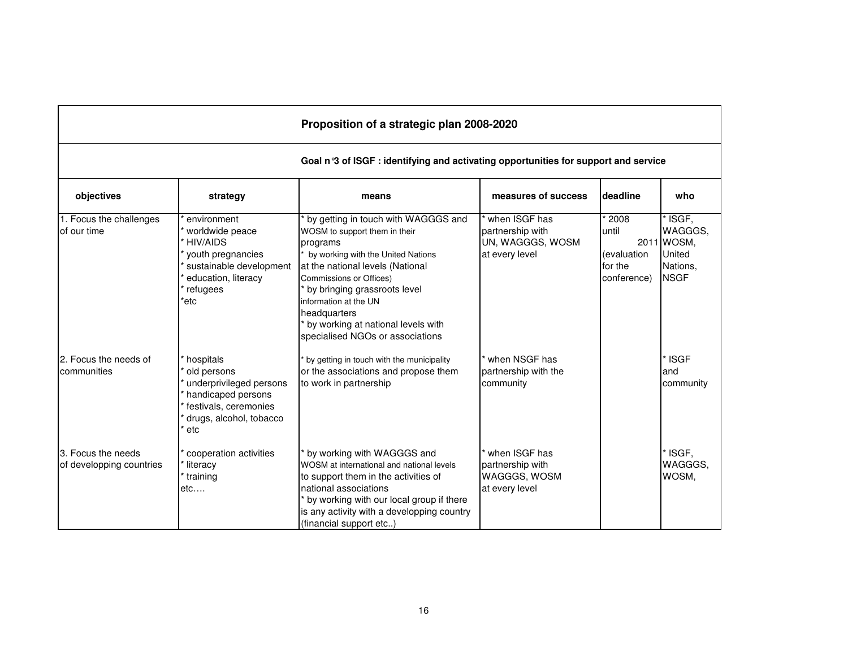| Proposition of a strategic plan 2008-2020                                           |                                                                                                                                              |                                                                                                                                                                                                                                                                                                                                          |                                                                            |                                                        |                                                                     |  |  |
|-------------------------------------------------------------------------------------|----------------------------------------------------------------------------------------------------------------------------------------------|------------------------------------------------------------------------------------------------------------------------------------------------------------------------------------------------------------------------------------------------------------------------------------------------------------------------------------------|----------------------------------------------------------------------------|--------------------------------------------------------|---------------------------------------------------------------------|--|--|
| Goal n°3 of ISGF : identifying and activating opportunities for support and service |                                                                                                                                              |                                                                                                                                                                                                                                                                                                                                          |                                                                            |                                                        |                                                                     |  |  |
| objectives                                                                          | strategy                                                                                                                                     | means                                                                                                                                                                                                                                                                                                                                    | measures of success                                                        | deadline                                               | who                                                                 |  |  |
| 1. Focus the challenges<br>of our time                                              | environment<br>worldwide peace<br><b>HIV/AIDS</b><br>youth pregnancies<br>sustainable development<br>education, literacy<br>refugees<br>*etc | by getting in touch with WAGGGS and<br>WOSM to support them in their<br>programs<br>by working with the United Nations<br>at the national levels (National<br>Commissions or Offices)<br>by bringing grassroots level<br>information at the UN<br>headquarters<br>by working at national levels with<br>specialised NGOs or associations | when ISGF has<br>partnership with<br>UN, WAGGGS, WOSM<br>at every level    | 2008<br>until<br>(evaluation<br>for the<br>conference) | ISGF,<br>WAGGGS,<br>2011 WOSM,<br>United<br>Nations.<br><b>NSGF</b> |  |  |
| 2. Focus the needs of<br>communities                                                | hospitals<br>old persons<br>underprivileged persons<br>handicaped persons<br>festivals, ceremonies<br>drugs, alcohol, tobacco<br>etc         | by getting in touch with the municipality<br>or the associations and propose them<br>to work in partnership                                                                                                                                                                                                                              | * when NSGF has<br>partnership with the<br>community                       |                                                        | <b>ISGF</b><br>and<br>community                                     |  |  |
| 3. Focus the needs<br>of developping countries                                      | cooperation activities<br>literacy<br>training<br>$etc.$                                                                                     | by working with WAGGGS and<br>WOSM at international and national levels<br>to support them in the activities of<br>national associations<br>by working with our local group if there<br>is any activity with a developping country<br>(financial support etc)                                                                            | when ISGF has<br>partnership with<br><b>WAGGGS, WOSM</b><br>at every level |                                                        | ISGF,<br>WAGGGS,<br>WOSM.                                           |  |  |